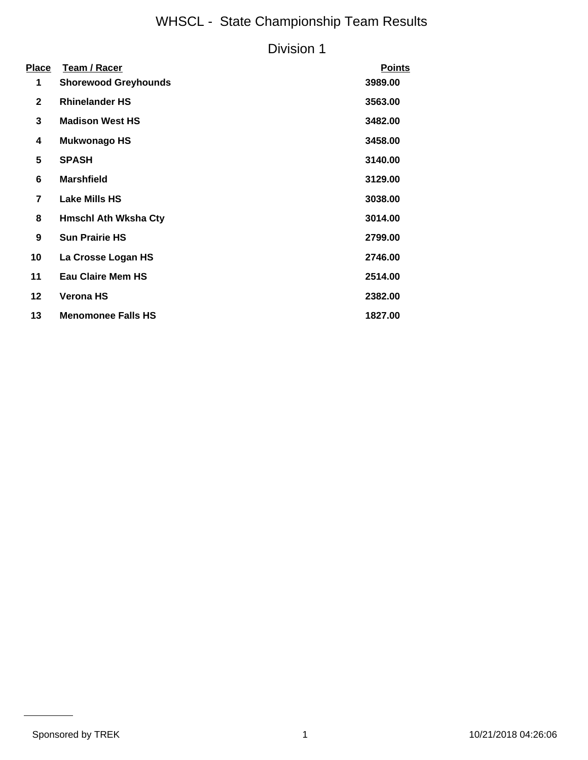# WHSCL - State Championship Team Results

### Division 1

| Place          | Team / Racer                | <b>Points</b> |
|----------------|-----------------------------|---------------|
| 1              | <b>Shorewood Greyhounds</b> | 3989.00       |
| $\mathbf{2}$   | <b>Rhinelander HS</b>       | 3563.00       |
| 3              | <b>Madison West HS</b>      | 3482.00       |
| 4              | Mukwonago HS                | 3458.00       |
| 5              | <b>SPASH</b>                | 3140.00       |
| 6              | <b>Marshfield</b>           | 3129.00       |
| $\overline{7}$ | <b>Lake Mills HS</b>        | 3038.00       |
| 8              | <b>Hmschl Ath Wksha Cty</b> | 3014.00       |
| 9              | <b>Sun Prairie HS</b>       | 2799.00       |
| 10             | La Crosse Logan HS          | 2746.00       |
| 11             | <b>Eau Claire Mem HS</b>    | 2514.00       |
| 12             | <b>Verona HS</b>            | 2382.00       |
| 13             | <b>Menomonee Falls HS</b>   | 1827.00       |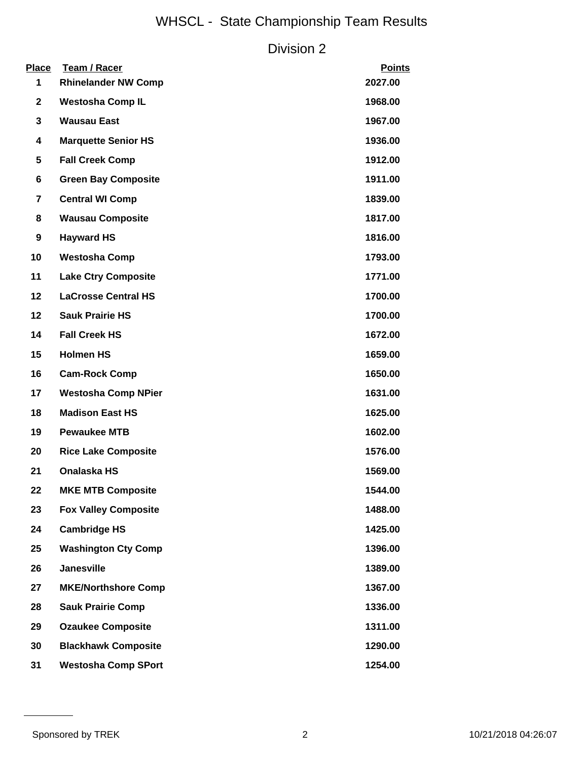# WHSCL - State Championship Team Results

## Division 2

| Place<br>1     | <b>Team / Racer</b><br><b>Rhinelander NW Comp</b> | <b>Points</b><br>2027.00 |
|----------------|---------------------------------------------------|--------------------------|
| $\mathbf{2}$   | <b>Westosha Comp IL</b>                           | 1968.00                  |
| 3              | <b>Wausau East</b>                                | 1967.00                  |
| 4              | <b>Marquette Senior HS</b>                        | 1936.00                  |
| 5              | <b>Fall Creek Comp</b>                            | 1912.00                  |
| 6              | <b>Green Bay Composite</b>                        | 1911.00                  |
| $\overline{7}$ | <b>Central WI Comp</b>                            | 1839.00                  |
| 8              | <b>Wausau Composite</b>                           | 1817.00                  |
| 9              | <b>Hayward HS</b>                                 | 1816.00                  |
| 10             | <b>Westosha Comp</b>                              | 1793.00                  |
| 11             | <b>Lake Ctry Composite</b>                        | 1771.00                  |
| 12             | <b>LaCrosse Central HS</b>                        | 1700.00                  |
| 12             | <b>Sauk Prairie HS</b>                            | 1700.00                  |
| 14             | <b>Fall Creek HS</b>                              | 1672.00                  |
| 15             | <b>Holmen HS</b>                                  | 1659.00                  |
| 16             | <b>Cam-Rock Comp</b>                              | 1650.00                  |
| 17             | <b>Westosha Comp NPier</b>                        | 1631.00                  |
| 18             | <b>Madison East HS</b>                            | 1625.00                  |
| 19             | <b>Pewaukee MTB</b>                               | 1602.00                  |
| 20             | <b>Rice Lake Composite</b>                        | 1576.00                  |
| 21             | Onalaska HS                                       | 1569.00                  |
| 22             | <b>MKE MTB Composite</b>                          | 1544.00                  |
| 23             | <b>Fox Valley Composite</b>                       | 1488.00                  |
| 24             | <b>Cambridge HS</b>                               | 1425.00                  |
| 25             | <b>Washington Cty Comp</b>                        | 1396.00                  |
| 26             | <b>Janesville</b>                                 | 1389.00                  |
| 27             | <b>MKE/Northshore Comp</b>                        | 1367.00                  |
| 28             | <b>Sauk Prairie Comp</b>                          | 1336.00                  |
| 29             | <b>Ozaukee Composite</b>                          | 1311.00                  |
| 30             | <b>Blackhawk Composite</b>                        | 1290.00                  |
| 31             | <b>Westosha Comp SPort</b>                        | 1254.00                  |